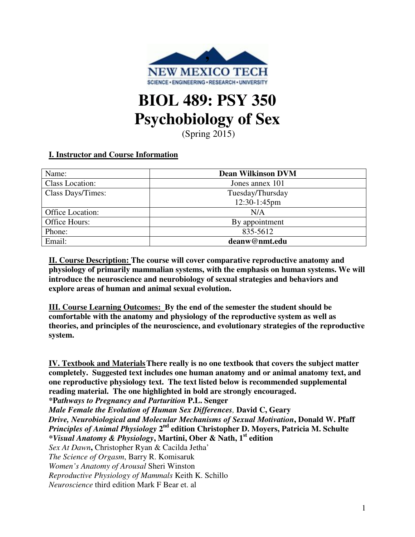

# **BIOL 489: PSY 350 Psychobiology of Sex**

(Spring 2015)

# **I. Instructor and Course Information**

| Name:                  | <b>Dean Wilkinson DVM</b> |  |
|------------------------|---------------------------|--|
| <b>Class Location:</b> | Jones annex 101           |  |
| Class Days/Times:      | Tuesday/Thursday          |  |
|                        | 12:30-1:45pm              |  |
| Office Location:       | N/A                       |  |
| Office Hours:          | By appointment            |  |
| Phone:                 | 835-5612                  |  |
| Email:                 | deanw@nmt.edu             |  |

**II. Course Description: The course will cover comparative reproductive anatomy and physiology of primarily mammalian systems, with the emphasis on human systems. We will introduce the neuroscience and neurobiology of sexual strategies and behaviors and explore areas of human and animal sexual evolution.**

**III. Course Learning Outcomes: By the end of the semester the student should be comfortable with the anatomy and physiology of the reproductive system as well as theories, and principles of the neuroscience, and evolutionary strategies of the reproductive system.**

**IV. Textbook and Materials There really is no one textbook that covers the subject matter completely. Suggested text includes one human anatomy and or animal anatomy text, and one reproductive physiology text. The text listed below is recommended supplemental reading material. The one highlighted in bold are strongly encouraged. \*P***athways to Pregnancy and Parturition* **P.L. Senger** *Male Female the Evolution of Human Sex Differences,* **David C, Geary** *Drive, Neurobiological and Molecular Mechanisms of Sexual Motivation***, Donald W. Pfaff** *Principles of Animal Physiology* 2<sup>nd</sup> edition Christopher D. Moyers, Patricia M. Schulte *\*Visual Anatomy & Physiology***, Martini, Ober & Nath, 1st edition**  *Sex At Dawn***,** Christopher Ryan & Cacilda Jetha' *The Science of Orgasm*, Barry R. Komisaruk *Women's Anatomy of Arousal* Sheri Winston *Reproductive Physiology of Mammals* Keith K. Schillo *Neuroscience* third edition Mark F Bear et. al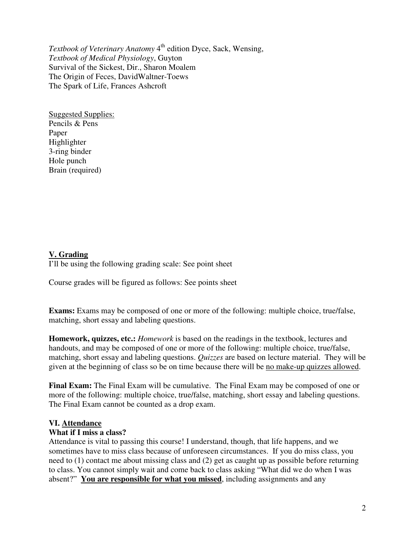*Textbook of Veterinary Anatomy* 4<sup>th</sup> edition Dyce, Sack, Wensing, *Textbook of Medical Physiology*, Guyton Survival of the Sickest, Dir., Sharon Moalem The Origin of Feces, DavidWaltner-Toews The Spark of Life, Frances Ashcroft

Suggested Supplies: Pencils & Pens Paper Highlighter 3-ring binder Hole punch Brain (required)

### **V. Grading**

I'll be using the following grading scale: See point sheet

Course grades will be figured as follows: See points sheet

**Exams:** Exams may be composed of one or more of the following: multiple choice, true/false, matching, short essay and labeling questions.

**Homework, quizzes, etc.:** *Homework* is based on the readings in the textbook, lectures and handouts, and may be composed of one or more of the following: multiple choice, true/false, matching, short essay and labeling questions. *Quizzes* are based on lecture material. They will be given at the beginning of class so be on time because there will be no make-up quizzes allowed.

**Final Exam:** The Final Exam will be cumulative. The Final Exam may be composed of one or more of the following: multiple choice, true/false, matching, short essay and labeling questions. The Final Exam cannot be counted as a drop exam.

#### **VI. Attendance**

#### **What if I miss a class?**

Attendance is vital to passing this course! I understand, though, that life happens, and we sometimes have to miss class because of unforeseen circumstances. If you do miss class, you need to (1) contact me about missing class and (2) get as caught up as possible before returning to class. You cannot simply wait and come back to class asking "What did we do when I was absent?" **You are responsible for what you missed**, including assignments and any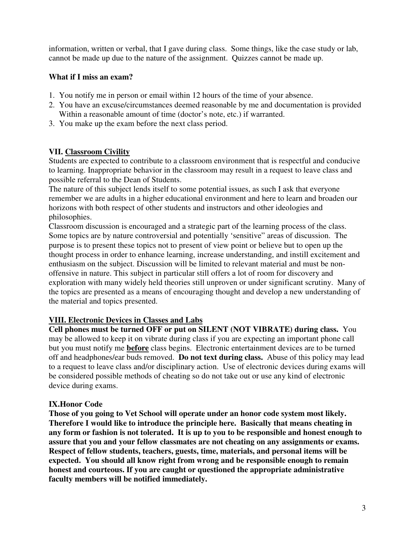information, written or verbal, that I gave during class. Some things, like the case study or lab, cannot be made up due to the nature of the assignment. Quizzes cannot be made up.

## **What if I miss an exam?**

- 1. You notify me in person or email within 12 hours of the time of your absence.
- 2. You have an excuse/circumstances deemed reasonable by me and documentation is provided Within a reasonable amount of time (doctor's note, etc.) if warranted.
- 3. You make up the exam before the next class period.

### **VII. Classroom Civility**

Students are expected to contribute to a classroom environment that is respectful and conducive to learning. Inappropriate behavior in the classroom may result in a request to leave class and possible referral to the Dean of Students.

The nature of this subject lends itself to some potential issues, as such I ask that everyone remember we are adults in a higher educational environment and here to learn and broaden our horizons with both respect of other students and instructors and other ideologies and philosophies.

Classroom discussion is encouraged and a strategic part of the learning process of the class. Some topics are by nature controversial and potentially 'sensitive" areas of discussion. The purpose is to present these topics not to present of view point or believe but to open up the thought process in order to enhance learning, increase understanding, and instill excitement and enthusiasm on the subject. Discussion will be limited to relevant material and must be nonoffensive in nature. This subject in particular still offers a lot of room for discovery and exploration with many widely held theories still unproven or under significant scrutiny. Many of the topics are presented as a means of encouraging thought and develop a new understanding of the material and topics presented.

### **VIII. Electronic Devices in Classes and Labs**

**Cell phones must be turned OFF or put on SILENT (NOT VIBRATE) during class.** You may be allowed to keep it on vibrate during class if you are expecting an important phone call but you must notify me **before** class begins. Electronic entertainment devices are to be turned off and headphones/ear buds removed. **Do not text during class.** Abuse of this policy may lead to a request to leave class and/or disciplinary action. Use of electronic devices during exams will be considered possible methods of cheating so do not take out or use any kind of electronic device during exams.

### **IX.Honor Code**

**Those of you going to Vet School will operate under an honor code system most likely. Therefore I would like to introduce the principle here. Basically that means cheating in any form or fashion is not tolerated. It is up to you to be responsible and honest enough to assure that you and your fellow classmates are not cheating on any assignments or exams. Respect of fellow students, teachers, guests, time, materials, and personal items will be expected. You should all know right from wrong and be responsible enough to remain honest and courteous. If you are caught or questioned the appropriate administrative faculty members will be notified immediately.**